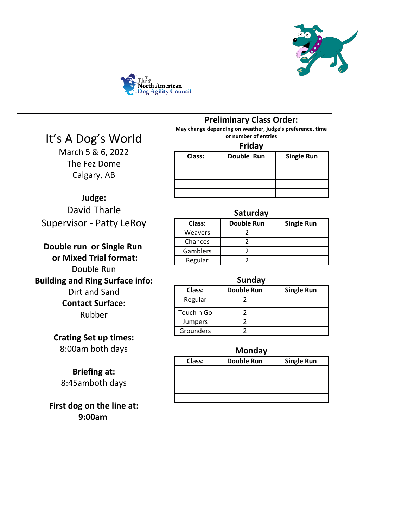



# It's A Dog's World

March 5 & 6, 2022 The Fez Dome Calgary, AB

**Judge:** David Tharle Supervisor - Patty LeRoy

**Double run or Single Run or Mixed Trial format:** Double Run **Building and Ring Surface info:** Dirt and Sand **Contact Surface:** Rubber

> **Crating Set up times:** 8:00am both days

**Briefing at:** 8:45amboth days

**First dog on the line at: 9:00am** 

**May change depending on weather, judge's preference, time or number of entries**

| Friday |
|--------|
|--------|

| Class: | Double Run | <b>Single Run</b> |
|--------|------------|-------------------|
|        |            |                   |
|        |            |                   |
|        |            |                   |
|        |            |                   |

#### **Saturday**

|          | .                 |                   |
|----------|-------------------|-------------------|
| Class:   | <b>Double Run</b> | <b>Single Run</b> |
| Weavers  |                   |                   |
| Chances  |                   |                   |
| Gamblers |                   |                   |
| Regular  |                   |                   |
|          |                   |                   |

|                | Sunday            |                   |
|----------------|-------------------|-------------------|
| Class:         | <b>Double Run</b> | <b>Single Run</b> |
| Regular        |                   |                   |
| Touch n Go     |                   |                   |
| <b>Jumpers</b> |                   |                   |
| Grounders      |                   |                   |

|        | Monday            |                   |
|--------|-------------------|-------------------|
| Class: | <b>Double Run</b> | <b>Single Run</b> |
|        |                   |                   |
|        |                   |                   |
|        |                   |                   |
|        |                   |                   |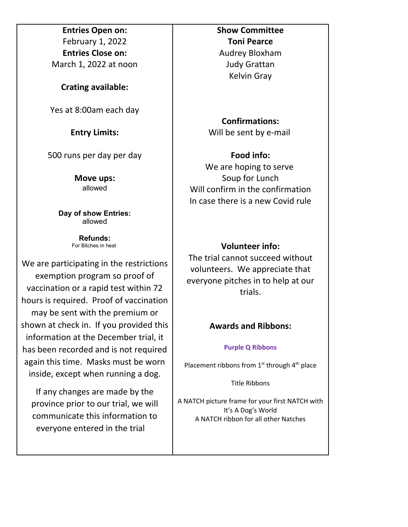**Entries Open on:** February 1, 2022 **Entries Close on:** March 1, 2022 at noon

**Crating available:**

Yes at 8:00am each day

**Entry Limits:**

500 runs per day per day

**Move ups:** allowed

**Day of show Entries:** allowed

> **Refunds:** For Bitches in heat

We are participating in the restrictions exemption program so proof of vaccination or a rapid test within 72 hours is required. Proof of vaccination may be sent with the premium or shown at check in. If you provided this information at the December trial, it has been recorded and is not required again this time. Masks must be worn inside, except when running a dog.

If any changes are made by the province prior to our trial, we will communicate this information to everyone entered in the trial

#### **Show Committee Toni Pearce**

Audrey Bloxham Judy Grattan Kelvin Gray

**Confirmations:** Will be sent by e-mail

# **Food info:** We are hoping to serve Soup for Lunch Will confirm in the confirmation In case there is a new Covid rule

## **Volunteer info:**

The trial cannot succeed without volunteers. We appreciate that everyone pitches in to help at our trials.

## **Awards and Ribbons:**

#### **Purple Q Ribbons**

Placement ribbons from  $1<sup>st</sup>$  through  $4<sup>th</sup>$  place

Title Ribbons

A NATCH picture frame for your first NATCH with It's A Dog's World A NATCH ribbon for all other Natches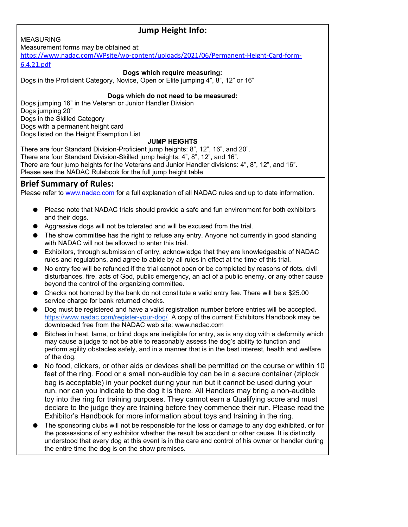## **Jump Height Info:**

MEASURING Measurement forms may be obtained at:

[https://www.nadac.com/WPsite/wp-content/uploads/2021/06/Permanent-Height-Card-form-](https://www.nadac.com/WPsite/wp-content/uploads/2021/06/Permanent-Height-Card-form-6.4.21.pdf)[6.4.21.pdf](https://www.nadac.com/WPsite/wp-content/uploads/2021/06/Permanent-Height-Card-form-6.4.21.pdf)

#### **Dogs which require measuring:**

Dogs in the Proficient Category, Novice, Open or Elite jumping 4", 8", 12" or 16"

#### **Dogs which do not need to be measured:**

Dogs jumping 16" in the Veteran or Junior Handler Division Dogs jumping 20" Dogs in the Skilled Category Dogs with a permanent height card Dogs listed on the Height Exemption List

#### **JUMP HEIGHTS**

There are four Standard Division-Proficient jump heights: 8", 12", 16", and 20". There are four Standard Division-Skilled jump heights: 4", 8", 12", and 16". There are four jump heights for the Veterans and Junior Handler divisions: 4", 8", 12", and 16". Please see the NADAC Rulebook for the full jump height table

## **Brief Summary of Rules:**

Please refer to [www.nadac.com](http://www.nadac.com/) for a full explanation of all NADAC rules and up to date information.

- Please note that NADAC trials should provide a safe and fun environment for both exhibitors and their dogs.
- Aggressive dogs will not be tolerated and will be excused from the trial.
- The show committee has the right to refuse any entry. Anyone not currently in good standing with NADAC will not be allowed to enter this trial.
- Exhibitors, through submission of entry, acknowledge that they are knowledgeable of NADAC rules and regulations, and agree to abide by all rules in effect at the time of this trial.
- No entry fee will be refunded if the trial cannot open or be completed by reasons of riots, civil disturbances, fire, acts of God, public emergency, an act of a public enemy, or any other cause beyond the control of the organizing committee.
- Checks not honored by the bank do not constitute a valid entry fee. There will be a \$25.00 service charge for bank returned checks.
- Dog must be registered and have a valid registration number before entries will be accepted. [https://www.nadac.com/register-your-dog/](http://nadac.com/register-your-dog/) A copy of the current Exhibitors Handbook may be downloaded free from the NADAC web site: www.nadac.com
- Bitches in heat, lame, or blind dogs are ineligible for entry, as is any dog with a deformity which may cause a judge to not be able to reasonably assess the dog's ability to function and perform agility obstacles safely, and in a manner that is in the best interest, health and welfare of the dog.
- No food, clickers, or other aids or devices shall be permitted on the course or within 10 feet of the ring. Food or a small non-audible toy can be in a secure container (ziplock bag is acceptable) in your pocket during your run but it cannot be used during your run, nor can you indicate to the dog it is there. All Handlers may bring a non-audible toy into the ring for training purposes. They cannot earn a Qualifying score and must declare to the judge they are training before they commence their run. Please read the Exhibitor's Handbook for more information about toys and training in the ring.
- The sponsoring clubs will not be responsible for the loss or damage to any dog exhibited, or for the possessions of any exhibitor whether the result be accident or other cause. It is distinctly understood that every dog at this event is in the care and control of his owner or handler during the entire time the dog is on the show premises.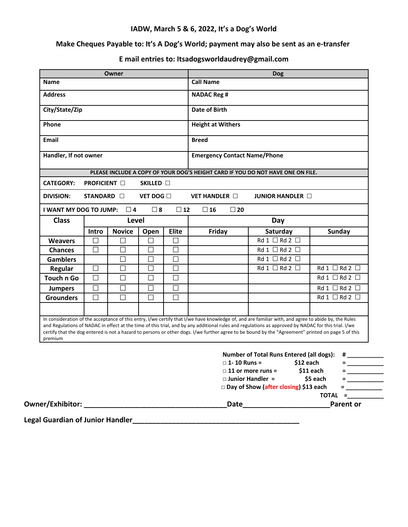#### **IADW, March 5 & 6, 2022, It's a Dog's World**

## **Make Cheques Payable to: It's A Dog's World; payment may also be sent as an e-transfer**

## **E mail entries to: Itsadogsworldaudrey@gmail.com**

| <b>Owner</b>                                                                                                   |                     |               |                                     |                          | <b>Dog</b>                |                                                                                                                                                                                                                                                                                                                                                                                                                                                                                                                     |                                    |
|----------------------------------------------------------------------------------------------------------------|---------------------|---------------|-------------------------------------|--------------------------|---------------------------|---------------------------------------------------------------------------------------------------------------------------------------------------------------------------------------------------------------------------------------------------------------------------------------------------------------------------------------------------------------------------------------------------------------------------------------------------------------------------------------------------------------------|------------------------------------|
| <b>Name</b>                                                                                                    |                     |               | <b>Call Name</b>                    |                          |                           |                                                                                                                                                                                                                                                                                                                                                                                                                                                                                                                     |                                    |
| <b>Address</b>                                                                                                 |                     |               | <b>NADAC Reg #</b>                  |                          |                           |                                                                                                                                                                                                                                                                                                                                                                                                                                                                                                                     |                                    |
| City/State/Zip                                                                                                 |                     |               | Date of Birth                       |                          |                           |                                                                                                                                                                                                                                                                                                                                                                                                                                                                                                                     |                                    |
| Phone                                                                                                          |                     |               | <b>Height at Withers</b>            |                          |                           |                                                                                                                                                                                                                                                                                                                                                                                                                                                                                                                     |                                    |
| <b>Email</b>                                                                                                   |                     |               | <b>Breed</b>                        |                          |                           |                                                                                                                                                                                                                                                                                                                                                                                                                                                                                                                     |                                    |
| Handler, If not owner                                                                                          |                     |               | <b>Emergency Contact Name/Phone</b> |                          |                           |                                                                                                                                                                                                                                                                                                                                                                                                                                                                                                                     |                                    |
|                                                                                                                |                     |               |                                     |                          |                           | PLEASE INCLUDE A COPY OF YOUR DOG'S HEIGHT CARD IF YOU DO NOT HAVE ONE ON FILE.                                                                                                                                                                                                                                                                                                                                                                                                                                     |                                    |
| <b>CATEGORY:</b>                                                                                               | <b>PROFICIENT</b> □ |               | SKILLED <b>O</b>                    |                          |                           |                                                                                                                                                                                                                                                                                                                                                                                                                                                                                                                     |                                    |
| <b>DIVISION:</b><br>STANDARD <b>II</b><br>VET DOG $\Box$                                                       |                     |               | <b>VET HANDLER</b> $\Box$           | <b>JUNIOR HANDLER OF</b> |                           |                                                                                                                                                                                                                                                                                                                                                                                                                                                                                                                     |                                    |
| I WANT MY DOG TO JUMP: $\Box$ 4                                                                                |                     |               | $\square$ 8                         | $\square$ 12             | $\square$ 16<br>$\Box$ 20 |                                                                                                                                                                                                                                                                                                                                                                                                                                                                                                                     |                                    |
| <b>Class</b>                                                                                                   |                     | Level         |                                     |                          |                           | Day                                                                                                                                                                                                                                                                                                                                                                                                                                                                                                                 |                                    |
|                                                                                                                | <b>Intro</b>        | <b>Novice</b> | Open                                | Elite                    | Friday                    | Saturday                                                                                                                                                                                                                                                                                                                                                                                                                                                                                                            | <b>Sunday</b>                      |
| <b>Weavers</b>                                                                                                 | П                   | П             | П                                   | П                        |                           | $Rd1 \Box Rd2 \Box$                                                                                                                                                                                                                                                                                                                                                                                                                                                                                                 |                                    |
| <b>Chances</b>                                                                                                 | П                   | П             | П                                   | П                        |                           | $Rd 1 \Box Rd 2 \Box$                                                                                                                                                                                                                                                                                                                                                                                                                                                                                               |                                    |
| <b>Gamblers</b>                                                                                                |                     | П             | П                                   | П                        |                           | $Rd 1 \Box Rd 2 \Box$                                                                                                                                                                                                                                                                                                                                                                                                                                                                                               |                                    |
| Regular                                                                                                        | $\Box$              | П             | П                                   | $\Box$                   |                           | $Rd 1 \Box Rd 2 \Box$                                                                                                                                                                                                                                                                                                                                                                                                                                                                                               | $Rd1 \Box Rd2 \Box$                |
| Touch n Go                                                                                                     | $\Box$              | П             | П                                   | П                        |                           |                                                                                                                                                                                                                                                                                                                                                                                                                                                                                                                     | $Rd1 \Box Rd2 \Box$                |
| <b>Jumpers</b>                                                                                                 | $\Box$              | П             | П                                   | П                        |                           |                                                                                                                                                                                                                                                                                                                                                                                                                                                                                                                     | $Rd1 \Box Rd2 \Box$                |
| <b>Grounders</b>                                                                                               | П                   | П             | П                                   | П                        |                           |                                                                                                                                                                                                                                                                                                                                                                                                                                                                                                                     | $Rd1 \Box Rd2 \Box$                |
| premium                                                                                                        |                     |               |                                     |                          |                           | In consideration of the acceptance of this entry, I/we certify that I/we have knowledge of, and are familiar with, and agree to abide by, the Rules<br>and Regulations of NADAC in effect at the time of this trial, and by any additional rules and regulations as approved by NADAC for this trial. I/we<br>certify that the dog entered is not a hazard to persons or other dogs. I/we further agree to be bound by the "Agreement" printed on page 5 of this<br><b>Number of Total Runs Entered (all dogs):</b> |                                    |
|                                                                                                                |                     |               |                                     |                          | $\Box$ 1-10 Runs =        | \$12 each                                                                                                                                                                                                                                                                                                                                                                                                                                                                                                           | $\#$ and $\#$<br>= _____________   |
|                                                                                                                |                     |               |                                     |                          |                           | $\Box$ 11 or more runs =                                                                                                                                                                                                                                                                                                                                                                                                                                                                                            | $$11$ each                         |
|                                                                                                                |                     |               |                                     |                          |                           | $\Box$ Junior Handler =                                                                                                                                                                                                                                                                                                                                                                                                                                                                                             | \$5 each<br>material contracts and |
|                                                                                                                |                     |               |                                     |                          |                           | Day of Show (after closing) \$13 each                                                                                                                                                                                                                                                                                                                                                                                                                                                                               | = 2000 <u>- 200</u>                |
|                                                                                                                |                     |               |                                     |                          |                           |                                                                                                                                                                                                                                                                                                                                                                                                                                                                                                                     | TOTAL =                            |
| Owner/Exhibitor: with a state of the state of the state of the state of the state of the state of the state of |                     |               |                                     |                          | Date                      |                                                                                                                                                                                                                                                                                                                                                                                                                                                                                                                     | <b>Parent or</b>                   |

**Legal Guardian of Junior Handler\_\_\_\_\_\_\_\_\_\_\_\_\_\_\_\_\_\_\_\_\_\_\_\_\_\_\_\_\_\_\_\_\_\_\_\_\_\_\_\_\_\_**